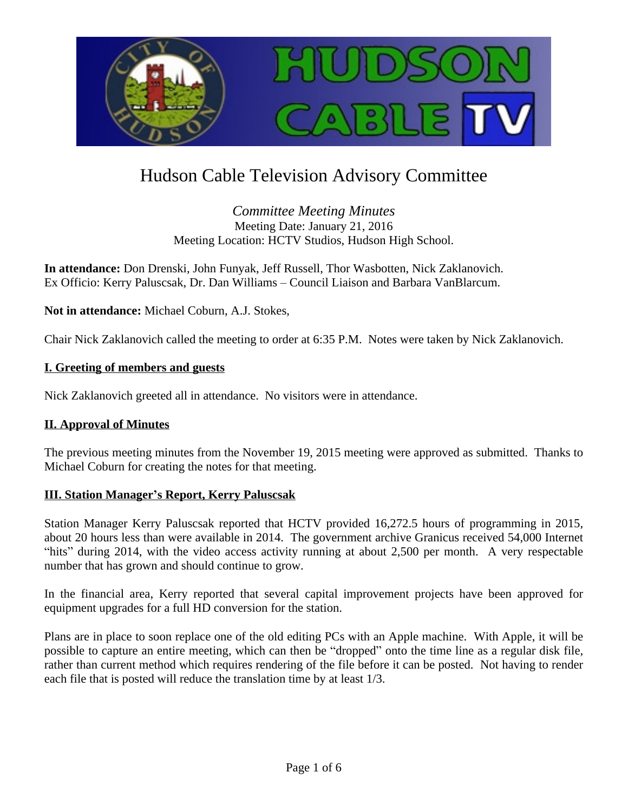

# Hudson Cable Television Advisory Committee

*Committee Meeting Minutes* Meeting Date: January 21, 2016 Meeting Location: HCTV Studios, Hudson High School.

**In attendance:** Don Drenski, John Funyak, Jeff Russell, Thor Wasbotten, Nick Zaklanovich. Ex Officio: Kerry Paluscsak, Dr. Dan Williams – Council Liaison and Barbara VanBlarcum.

**Not in attendance:** Michael Coburn, A.J. Stokes,

Chair Nick Zaklanovich called the meeting to order at 6:35 P.M. Notes were taken by Nick Zaklanovich.

#### **I. Greeting of members and guests**

Nick Zaklanovich greeted all in attendance. No visitors were in attendance.

#### **II. Approval of Minutes**

The previous meeting minutes from the November 19, 2015 meeting were approved as submitted. Thanks to Michael Coburn for creating the notes for that meeting.

#### **III. Station Manager's Report, Kerry Paluscsak**

Station Manager Kerry Paluscsak reported that HCTV provided 16,272.5 hours of programming in 2015, about 20 hours less than were available in 2014. The government archive Granicus received 54,000 Internet "hits" during 2014, with the video access activity running at about 2,500 per month. A very respectable number that has grown and should continue to grow.

In the financial area, Kerry reported that several capital improvement projects have been approved for equipment upgrades for a full HD conversion for the station.

Plans are in place to soon replace one of the old editing PCs with an Apple machine. With Apple, it will be possible to capture an entire meeting, which can then be "dropped" onto the time line as a regular disk file, rather than current method which requires rendering of the file before it can be posted. Not having to render each file that is posted will reduce the translation time by at least 1/3.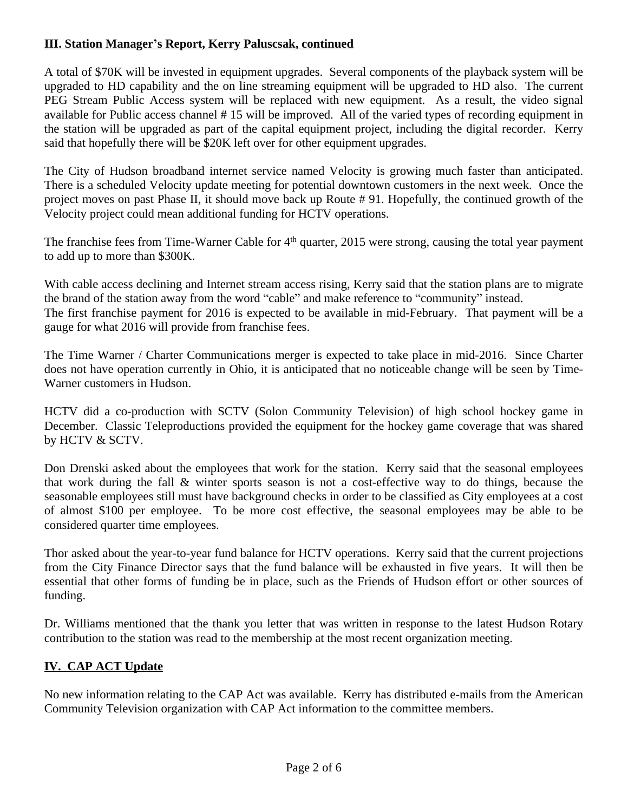# **III. Station Manager's Report, Kerry Paluscsak, continued**

A total of \$70K will be invested in equipment upgrades. Several components of the playback system will be upgraded to HD capability and the on line streaming equipment will be upgraded to HD also. The current PEG Stream Public Access system will be replaced with new equipment. As a result, the video signal available for Public access channel # 15 will be improved. All of the varied types of recording equipment in the station will be upgraded as part of the capital equipment project, including the digital recorder. Kerry said that hopefully there will be \$20K left over for other equipment upgrades.

The City of Hudson broadband internet service named Velocity is growing much faster than anticipated. There is a scheduled Velocity update meeting for potential downtown customers in the next week. Once the project moves on past Phase II, it should move back up Route # 91. Hopefully, the continued growth of the Velocity project could mean additional funding for HCTV operations.

The franchise fees from Time-Warner Cable for 4<sup>th</sup> quarter, 2015 were strong, causing the total year payment to add up to more than \$300K.

With cable access declining and Internet stream access rising, Kerry said that the station plans are to migrate the brand of the station away from the word "cable" and make reference to "community" instead. The first franchise payment for 2016 is expected to be available in mid-February. That payment will be a gauge for what 2016 will provide from franchise fees.

The Time Warner / Charter Communications merger is expected to take place in mid-2016. Since Charter does not have operation currently in Ohio, it is anticipated that no noticeable change will be seen by Time-Warner customers in Hudson.

HCTV did a co-production with SCTV (Solon Community Television) of high school hockey game in December. Classic Teleproductions provided the equipment for the hockey game coverage that was shared by HCTV & SCTV.

Don Drenski asked about the employees that work for the station. Kerry said that the seasonal employees that work during the fall & winter sports season is not a cost-effective way to do things, because the seasonable employees still must have background checks in order to be classified as City employees at a cost of almost \$100 per employee. To be more cost effective, the seasonal employees may be able to be considered quarter time employees.

Thor asked about the year-to-year fund balance for HCTV operations. Kerry said that the current projections from the City Finance Director says that the fund balance will be exhausted in five years. It will then be essential that other forms of funding be in place, such as the Friends of Hudson effort or other sources of funding.

Dr. Williams mentioned that the thank you letter that was written in response to the latest Hudson Rotary contribution to the station was read to the membership at the most recent organization meeting.

# **IV. CAP ACT Update**

No new information relating to the CAP Act was available. Kerry has distributed e-mails from the American Community Television organization with CAP Act information to the committee members.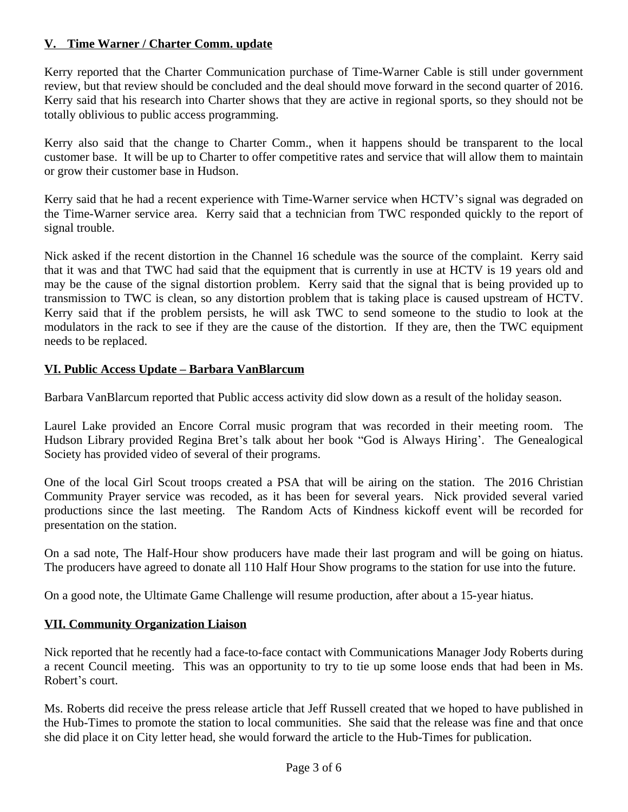#### **V. Time Warner / Charter Comm. update**

Kerry reported that the Charter Communication purchase of Time-Warner Cable is still under government review, but that review should be concluded and the deal should move forward in the second quarter of 2016. Kerry said that his research into Charter shows that they are active in regional sports, so they should not be totally oblivious to public access programming.

Kerry also said that the change to Charter Comm., when it happens should be transparent to the local customer base. It will be up to Charter to offer competitive rates and service that will allow them to maintain or grow their customer base in Hudson.

Kerry said that he had a recent experience with Time-Warner service when HCTV's signal was degraded on the Time-Warner service area. Kerry said that a technician from TWC responded quickly to the report of signal trouble.

Nick asked if the recent distortion in the Channel 16 schedule was the source of the complaint. Kerry said that it was and that TWC had said that the equipment that is currently in use at HCTV is 19 years old and may be the cause of the signal distortion problem. Kerry said that the signal that is being provided up to transmission to TWC is clean, so any distortion problem that is taking place is caused upstream of HCTV. Kerry said that if the problem persists, he will ask TWC to send someone to the studio to look at the modulators in the rack to see if they are the cause of the distortion. If they are, then the TWC equipment needs to be replaced.

# **VI. Public Access Update – Barbara VanBlarcum**

Barbara VanBlarcum reported that Public access activity did slow down as a result of the holiday season.

Laurel Lake provided an Encore Corral music program that was recorded in their meeting room. The Hudson Library provided Regina Bret's talk about her book "God is Always Hiring'. The Genealogical Society has provided video of several of their programs.

One of the local Girl Scout troops created a PSA that will be airing on the station. The 2016 Christian Community Prayer service was recoded, as it has been for several years. Nick provided several varied productions since the last meeting. The Random Acts of Kindness kickoff event will be recorded for presentation on the station.

On a sad note, The Half-Hour show producers have made their last program and will be going on hiatus. The producers have agreed to donate all 110 Half Hour Show programs to the station for use into the future.

On a good note, the Ultimate Game Challenge will resume production, after about a 15-year hiatus.

# **VII. Community Organization Liaison**

Nick reported that he recently had a face-to-face contact with Communications Manager Jody Roberts during a recent Council meeting. This was an opportunity to try to tie up some loose ends that had been in Ms. Robert's court.

Ms. Roberts did receive the press release article that Jeff Russell created that we hoped to have published in the Hub-Times to promote the station to local communities. She said that the release was fine and that once she did place it on City letter head, she would forward the article to the Hub-Times for publication.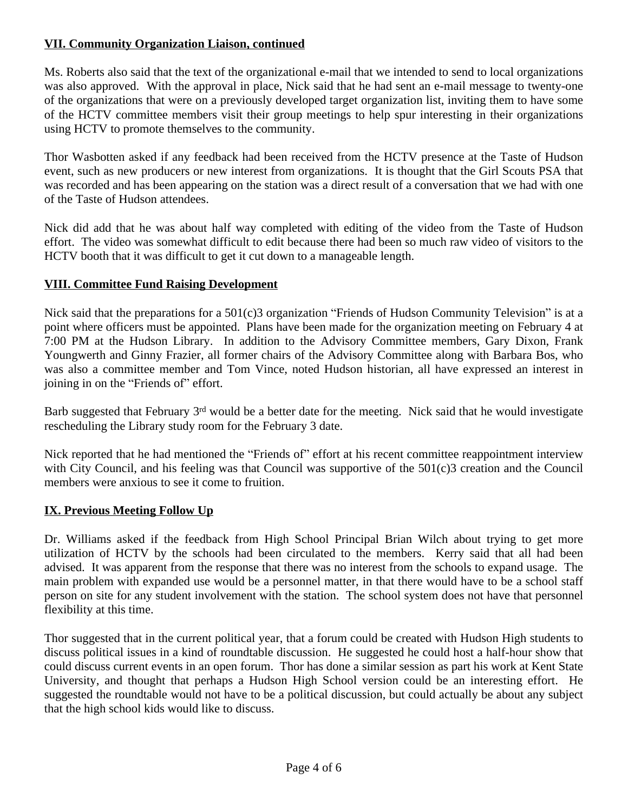# **VII. Community Organization Liaison, continued**

Ms. Roberts also said that the text of the organizational e-mail that we intended to send to local organizations was also approved. With the approval in place, Nick said that he had sent an e-mail message to twenty-one of the organizations that were on a previously developed target organization list, inviting them to have some of the HCTV committee members visit their group meetings to help spur interesting in their organizations using HCTV to promote themselves to the community.

Thor Wasbotten asked if any feedback had been received from the HCTV presence at the Taste of Hudson event, such as new producers or new interest from organizations. It is thought that the Girl Scouts PSA that was recorded and has been appearing on the station was a direct result of a conversation that we had with one of the Taste of Hudson attendees.

Nick did add that he was about half way completed with editing of the video from the Taste of Hudson effort. The video was somewhat difficult to edit because there had been so much raw video of visitors to the HCTV booth that it was difficult to get it cut down to a manageable length.

# **VIII. Committee Fund Raising Development**

Nick said that the preparations for a 501(c)3 organization "Friends of Hudson Community Television" is at a point where officers must be appointed. Plans have been made for the organization meeting on February 4 at 7:00 PM at the Hudson Library. In addition to the Advisory Committee members, Gary Dixon, Frank Youngwerth and Ginny Frazier, all former chairs of the Advisory Committee along with Barbara Bos, who was also a committee member and Tom Vince, noted Hudson historian, all have expressed an interest in joining in on the "Friends of" effort.

Barb suggested that February 3<sup>rd</sup> would be a better date for the meeting. Nick said that he would investigate rescheduling the Library study room for the February 3 date.

Nick reported that he had mentioned the "Friends of" effort at his recent committee reappointment interview with City Council, and his feeling was that Council was supportive of the 501(c)3 creation and the Council members were anxious to see it come to fruition.

#### **IX. Previous Meeting Follow Up**

Dr. Williams asked if the feedback from High School Principal Brian Wilch about trying to get more utilization of HCTV by the schools had been circulated to the members. Kerry said that all had been advised. It was apparent from the response that there was no interest from the schools to expand usage. The main problem with expanded use would be a personnel matter, in that there would have to be a school staff person on site for any student involvement with the station. The school system does not have that personnel flexibility at this time.

Thor suggested that in the current political year, that a forum could be created with Hudson High students to discuss political issues in a kind of roundtable discussion. He suggested he could host a half-hour show that could discuss current events in an open forum. Thor has done a similar session as part his work at Kent State University, and thought that perhaps a Hudson High School version could be an interesting effort. He suggested the roundtable would not have to be a political discussion, but could actually be about any subject that the high school kids would like to discuss.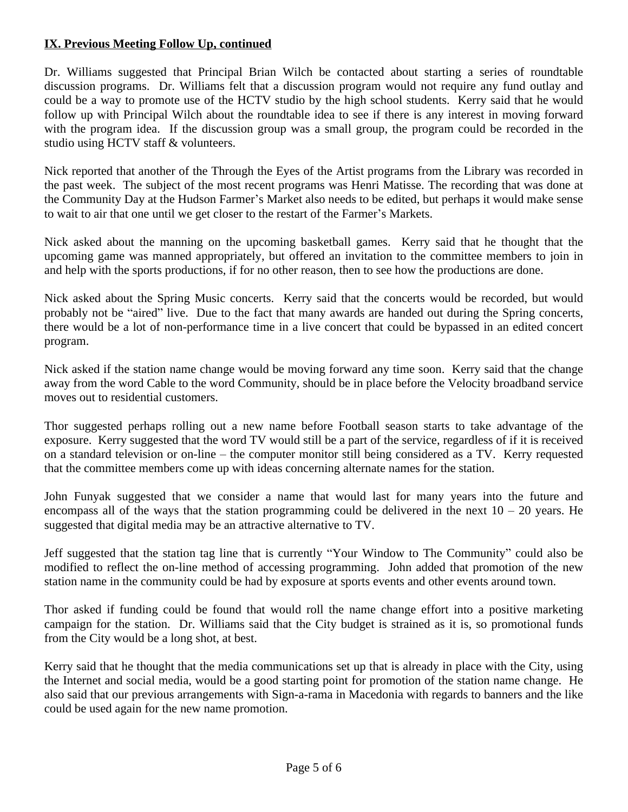#### **IX. Previous Meeting Follow Up, continued**

Dr. Williams suggested that Principal Brian Wilch be contacted about starting a series of roundtable discussion programs. Dr. Williams felt that a discussion program would not require any fund outlay and could be a way to promote use of the HCTV studio by the high school students. Kerry said that he would follow up with Principal Wilch about the roundtable idea to see if there is any interest in moving forward with the program idea. If the discussion group was a small group, the program could be recorded in the studio using HCTV staff & volunteers.

Nick reported that another of the Through the Eyes of the Artist programs from the Library was recorded in the past week. The subject of the most recent programs was Henri Matisse. The recording that was done at the Community Day at the Hudson Farmer's Market also needs to be edited, but perhaps it would make sense to wait to air that one until we get closer to the restart of the Farmer's Markets.

Nick asked about the manning on the upcoming basketball games. Kerry said that he thought that the upcoming game was manned appropriately, but offered an invitation to the committee members to join in and help with the sports productions, if for no other reason, then to see how the productions are done.

Nick asked about the Spring Music concerts. Kerry said that the concerts would be recorded, but would probably not be "aired" live. Due to the fact that many awards are handed out during the Spring concerts, there would be a lot of non-performance time in a live concert that could be bypassed in an edited concert program.

Nick asked if the station name change would be moving forward any time soon. Kerry said that the change away from the word Cable to the word Community, should be in place before the Velocity broadband service moves out to residential customers.

Thor suggested perhaps rolling out a new name before Football season starts to take advantage of the exposure. Kerry suggested that the word TV would still be a part of the service, regardless of if it is received on a standard television or on-line – the computer monitor still being considered as a TV. Kerry requested that the committee members come up with ideas concerning alternate names for the station.

John Funyak suggested that we consider a name that would last for many years into the future and encompass all of the ways that the station programming could be delivered in the next  $10 - 20$  years. He suggested that digital media may be an attractive alternative to TV.

Jeff suggested that the station tag line that is currently "Your Window to The Community" could also be modified to reflect the on-line method of accessing programming. John added that promotion of the new station name in the community could be had by exposure at sports events and other events around town.

Thor asked if funding could be found that would roll the name change effort into a positive marketing campaign for the station. Dr. Williams said that the City budget is strained as it is, so promotional funds from the City would be a long shot, at best.

Kerry said that he thought that the media communications set up that is already in place with the City, using the Internet and social media, would be a good starting point for promotion of the station name change. He also said that our previous arrangements with Sign-a-rama in Macedonia with regards to banners and the like could be used again for the new name promotion.